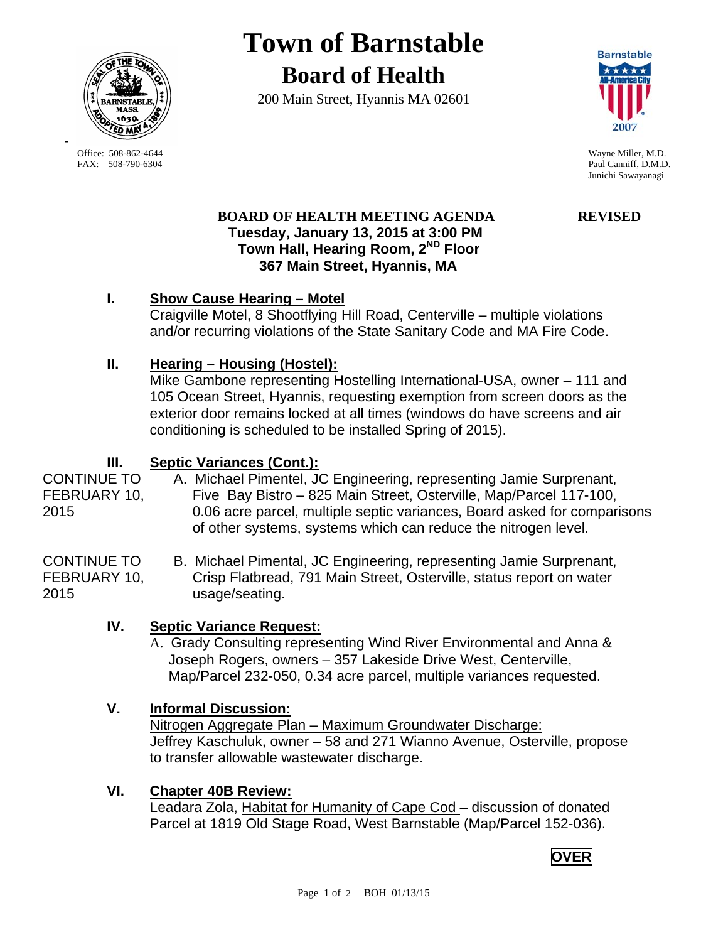

-

**Town of Barnstable Board of Health**

200 Main Street, Hyannis MA 02601



 Office: 508-862-4644 Wayne Miller, M.D. FAX: 508-790-6304 Paul Canniff, D.M.D. Junichi Sawayanagi

# **BOARD OF HEALTH MEETING AGENDA REVISED Tuesday, January 13, 2015 at 3:00 PM Town Hall, Hearing Room, 2ND Floor 367 Main Street, Hyannis, MA**

# **I. Show Cause Hearing – Motel**

Craigville Motel, 8 Shootflying Hill Road, Centerville – multiple violations and/or recurring violations of the State Sanitary Code and MA Fire Code.

# **II. Hearing – Housing (Hostel):**

Mike Gambone representing Hostelling International-USA, owner – 111 and 105 Ocean Street, Hyannis, requesting exemption from screen doors as the exterior door remains locked at all times (windows do have screens and air conditioning is scheduled to be installed Spring of 2015).

# **III. Septic Variances (Cont.):**

CONTINUE TO A. Michael Pimentel, JC Engineering, representing Jamie Surprenant, FEBRUARY 10, Five Bay Bistro – 825 Main Street, Osterville, Map/Parcel 117-100, 2015 0.06 acre parcel, multiple septic variances, Board asked for comparisons of other systems, systems which can reduce the nitrogen level.

CONTINUE TO B. Michael Pimental, JC Engineering, representing Jamie Surprenant, FEBRUARY 10, Crisp Flatbread, 791 Main Street, Osterville, status report on water 2015 usage/seating.

- **IV. Septic Variance Request:**
	- A. Grady Consulting representing Wind River Environmental and Anna & Joseph Rogers, owners – 357 Lakeside Drive West, Centerville, Map/Parcel 232-050, 0.34 acre parcel, multiple variances requested.

### **V. Informal Discussion:**

Nitrogen Aggregate Plan – Maximum Groundwater Discharge: Jeffrey Kaschuluk, owner – 58 and 271 Wianno Avenue, Osterville, propose to transfer allowable wastewater discharge.

### **VI. Chapter 40B Review:**

Leadara Zola, Habitat for Humanity of Cape Cod - discussion of donated Parcel at 1819 Old Stage Road, West Barnstable (Map/Parcel 152-036).